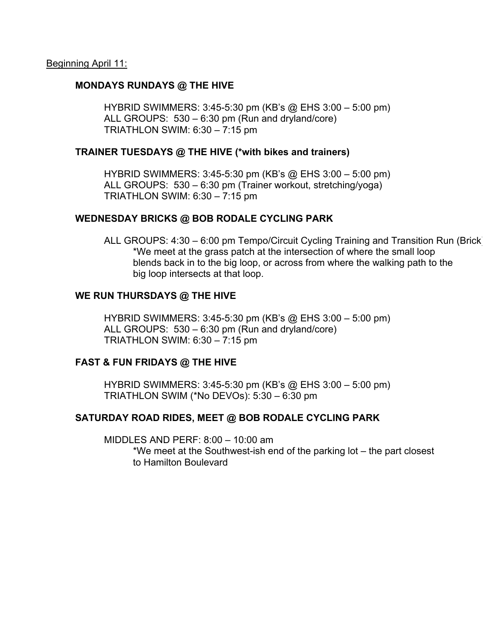# **MONDAYS RUNDAYS @ THE HIVE**

HYBRID SWIMMERS: 3:45-5:30 pm (KB's @ EHS 3:00 – 5:00 pm) ALL GROUPS: 530 – 6:30 pm (Run and dryland/core) TRIATHLON SWIM: 6:30 – 7:15 pm

# **TRAINER TUESDAYS @ THE HIVE (\*with bikes and trainers)**

HYBRID SWIMMERS: 3:45-5:30 pm (KB's @ EHS 3:00 – 5:00 pm) ALL GROUPS: 530 – 6:30 pm (Trainer workout, stretching/yoga) TRIATHLON SWIM: 6:30 – 7:15 pm

# **WEDNESDAY BRICKS @ BOB RODALE CYCLING PARK**

ALL GROUPS: 4:30 – 6:00 pm Tempo/Circuit Cycling Training and Transition Run (Brick) \*We meet at the grass patch at the intersection of where the small loop blends back in to the big loop, or across from where the walking path to the big loop intersects at that loop.

# **WE RUN THURSDAYS @ THE HIVE**

HYBRID SWIMMERS: 3:45-5:30 pm (KB's @ EHS 3:00 – 5:00 pm) ALL GROUPS: 530 – 6:30 pm (Run and dryland/core) TRIATHLON SWIM: 6:30 – 7:15 pm

# **FAST & FUN FRIDAYS @ THE HIVE**

HYBRID SWIMMERS: 3:45-5:30 pm (KB's @ EHS 3:00 – 5:00 pm) TRIATHLON SWIM (\*No DEVOs): 5:30 – 6:30 pm

# **SATURDAY ROAD RIDES, MEET @ BOB RODALE CYCLING PARK**

MIDDLES AND PERF: 8:00 – 10:00 am \*We meet at the Southwest-ish end of the parking lot – the part closest to Hamilton Boulevard